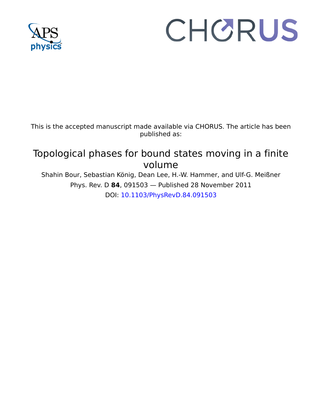

## CHORUS

This is the accepted manuscript made available via CHORUS. The article has been published as:

## Topological phases for bound states moving in a finite volume

Shahin Bour, Sebastian König, Dean Lee, H.-W. Hammer, and Ulf-G. Meißner Phys. Rev. D **84**, 091503 — Published 28 November 2011 DOI: [10.1103/PhysRevD.84.091503](http://dx.doi.org/10.1103/PhysRevD.84.091503)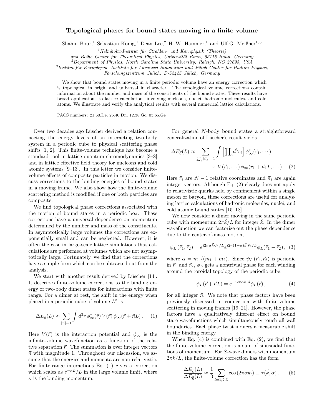## Topological phases for bound states moving in a finite volume

Shahin Bour,<sup>1</sup> Sebastian König,<sup>1</sup> Dean Lee,<sup>2</sup> H.-W. Hammer,<sup>1</sup> and Ulf-G. Meißner<sup>1,3</sup>

 $1$ Helmholtz-Institut für Strahlen- und Kernphysik (Theorie)

and Bethe Center for Theoretical Physics, Universität Bonn, 53115 Bonn, Germany

 $2^{2}$ Department of Physics, North Carolina State University, Raleigh, NC 27695, USA

 ${}^{3}$ Institut für Kernphysik, Institute for Advanced Simulation and Jülich Center for Hadron Physics,

Forschungszentrum Jülich, D-52425 Jülich, Germany

We show that bound states moving in a finite periodic volume have an energy correction which is topological in origin and universal in character. The topological volume corrections contain information about the number and mass of the constituents of the bound states. These results have broad applications to lattice calculations involving nucleons, nuclei, hadronic molecules, and cold atoms. We illustrate and verify the analytical results with several numerical lattice calculations.

PACS numbers: 21.60.De, 25.40.Dn, 12.38.Gc, 03.65.Ge

es ago Lüscher derived a relation con-<br>
for general N-bo<br>
y levels of an interacting two-body<br>
dic cube to physical scattering phase<br>
finite-volume technique has become a<br>
finite-volume technique has become a<br>  $\Delta E_{\vec{0}}($ PACS numbers can constrain of Linear term in the set of the method is and the set of the photon of Linear term in the set of the set of the set of the set of the set of the physical state is a straightform of Einstein or Over two decades ago Lüscher derived a relation connecting the energy levels of an interacting two-body system in a periodic cube to physical scattering phase shifts [1, 2]. This finite-volume technique has become a standard tool in lattice quantum chromodynamics [3–8] and in lattice effective field theory for nucleons and cold atomic systems [9–13]. In this letter we consider finitevolume effects of composite particles in motion. We discuss corrections to the binding energies of bound states in a moving frame. We also show how the finite-volume scattering method is modified if one or both particles are composite.

We find topological phase corrections associated with the motion of bound states in a periodic box. These corrections have a universal dependence on momentum determined by the number and mass of the constituents. In asymptotically large volumes the corrections are exponentially small and can be neglected. However, it is often the case in large-scale lattice simulations that calculations are performed at volumes which are not asymptotically large. Fortunately, we find that the corrections have a simple form which can be subtracted out from the analysis.

We start with another result derived by Lüscher [14]. It describes finite-volume corrections to the binding energy of two-body dimer states for interactions with finite range. For a dimer at rest, the shift in the energy when placed in a periodic cube of volume  $L^3$  is

$$
\Delta E_{\vec{0}}(L) \approx \sum_{|\vec{n}|=1} \int d^3r \, \phi_{\infty}^*(\vec{r}) \, V(\vec{r}) \, \phi_{\infty}(\vec{r} + \vec{n}L). \tag{1}
$$

Here  $V(\vec{r})$  is the interaction potential and  $\phi_{\infty}$  is the infinite-volume wavefunction as a function of the relative separation  $\vec{r}$ . The summation is over integer vectors  $\vec{n}$  with magnitude 1. Throughout our discussion, we assume that the energies and momenta are non-relativistic. For finite-range interactions Eq. (1) gives a correction which scales as  $e^{-\kappa L}/L$  in the large volume limit, where  $\kappa$  is the binding momentum.

For general N-body bound states a straightforward generalization of Lüscher's result yields

$$
\Delta E_{\vec{0}}(L) \approx \sum_{\sum_{j} |\vec{n}_{j}|=1} \int \left[ \prod_{i} d^{3} r_{i} \right] \phi_{\infty}^{*}(\vec{r}_{1}, \cdots) \times V(\vec{r}_{1}, \cdots) \phi_{\infty}(\vec{r}_{1} + \vec{n}_{1} L, \cdots). \tag{2}
$$

Here  $\vec{r}_i$  are  $N-1$  relative coordinates and  $\vec{n}_i$  are again integer vectors. Although Eq. (2) clearly does not apply to relativistic quarks held by confinement within a single meson or baryon, these corrections are useful for analyzing lattice calculations of hadronic molecules, nuclei, and cold atomic bound states [15–18].

We now consider a dimer moving in the same periodic cube with momentum  $2\pi \vec{k}/L$  for integer  $\vec{k}$ . In the dimer wavefunction we can factorize out the phase dependence due to the center-of-mass motion,

$$
\psi_L(\vec{r}_1, \vec{r}_2) = e^{i2\pi\alpha \vec{k} \cdot \vec{r}_1/L} e^{i2\pi(1-\alpha)\vec{k} \cdot \vec{r}_2/L} \phi_L(\vec{r}_1 - \vec{r}_2), \tag{3}
$$

where  $\alpha = m_1/(m_1 + m_2)$ . Since  $\psi_L(\vec{r}_1, \vec{r}_2)$  is periodic in  $\vec{r}_1$  and  $\vec{r}_2$ ,  $\phi_L$  gets a nontrivial phase for each winding around the toroidal topology of the periodic cube,

$$
\phi_L(\vec{r} + \vec{n}L) = e^{-i2\pi\alpha \vec{k} \cdot \vec{n}} \phi_L(\vec{r}), \qquad (4)
$$

for all integer  $\vec{n}$ . We note that phase factors have been previously discussed in connection with finite-volume scattering in moving frames [19–21]. However, the phase factors have a qualitatively different effect on bound state wavefunctions which simultaneously touch all wall boundaries. Each phase twist induces a measurable shift in the binding energy.

When Eq.  $(4)$  is combined with Eq.  $(2)$ , we find that the finite-volume correction is a sum of sinusoidal functions of momentum. For S-wave dimers with momentum  $2\pi\vec{k}/L$ , the finite-volume correction has the form

$$
\frac{\Delta E_{\vec{k}}(L)}{\Delta E_{\vec{0}}(L)} \approx \frac{1}{3} \sum_{l=1,2,3} \cos(2\pi \alpha k_l) \equiv \tau(\vec{k}, \alpha). \tag{5}
$$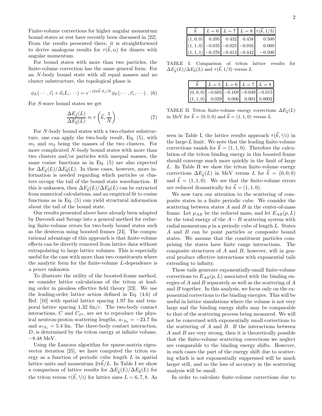Finite-volume corrections for higher angular momentum bound states at rest have recently been discussed in [22]. From the results presented there, it is straightforward to derive analogous results for  $\tau(\vec{k}, \alpha)$  for dimers with angular momentum.

For bound states with more than two particles, the finite-volume correction has the same general form. For an N-body bound state with all equal masses and no cluster substructure, the topological phase is

$$
\phi_L(\cdots, \vec{r}_i + \vec{n}_i L, \cdots) = e^{-i2\pi \vec{k} \cdot \vec{n}_i/N} \phi_L(\cdots, \vec{r}_i, \cdots).
$$
 (6)

For S-wave bound states we get

$$
\frac{\Delta E_{\vec{k}}(L)}{\Delta E_{\vec{0}}(L)} \approx \tau \left(\vec{k}, \frac{1}{N}\right). \tag{7}
$$

For N-body bound states with a two-cluster substructure, one can apply the two-body result, Eq. (5), with  $m_1$  and  $m_2$  being the masses of the two clusters. For more complicated N-body bound states with more than two clusters and/or particles with unequal masses, the same cosine functions as in Eq. (5) are also expected for  $\Delta E_{\vec{k}}(L)/\Delta E_{\vec{0}}(L)$ . In these cases, however, more information is needed regarding which particles or clusters occupy the tail of the bound state wavefunction. If this is unknown, then  $\Delta E_{\vec{k}}(L)/\Delta E_{\vec{0}}(L)$  can be extracted from numerical calculations, and an empirical fit to cosine functions as in Eq. (5) can yield structural information about the tail of the bound state.

Our results presented above have already been adapted by Davoudi and Savage into a general method for reducing finite-volume errors for two-body bound states such as the deuteron using boosted frames [24]. The computational advantage of this approach is that finite-volume effects can be directly removed from lattice data without extrapolating to large lattice volumes. This is especially useful for the case with more than two constituents where the analytic form for the finite-volume L-dependence is a priori unknown.

To illustrate the utility of the boosted-frame method, we consider lattice calculations of the triton at leading order in pionless effective field theory [23]. We use the leading-order lattice action defined in Eq. (4.6) of Ref. [10] with spatial lattice spacing 1.97 fm and temporal lattice spacing  $1.32 \text{ fm/c}$ . The two-body contact interactions, C and  $C_{I^2}$ , are set to reproduce the physical neutron-proton scattering lengths,  $a_{^1S_0} = -23.7$  fm and  $a_{3S_1} = 5.4$  fm. The three-body contact interaction, D, is determined by the triton energy at infinite volume, −8.48 MeV.

Using the Lanczos algorithm for sparse-matrix eigenvector iteration [25], we have computed the triton energy as a function of periodic cube length L in spatial lattice units and momentum  $2\pi \vec{k}/L$ . In Table I we show a comparison of lattice results for  $\Delta E_{\vec{k}}(L)/\Delta E_{\vec{0}}(L)$  for the triton versus  $\tau(\vec{k}, 1/3)$  for lattice sizes  $L = 6, 7, 8$ . As

|                                  |  | $L = 6   L = 7   L = 8  \tau(\vec{k}, 1/3) $ |
|----------------------------------|--|----------------------------------------------|
| $(1,0,0)$ 0.395 0.432 0.458      |  | 0.500                                        |
| $(1, 1, 0)$ -0.035 -0.025 -0.016 |  | 0.000                                        |
| $(1,1,1)$ -0.376 -0.413 -0.442   |  | $-0.500$                                     |

TABLE I: Comparison of triton lattice results for  $\Delta E_{\vec{k}}(L)/\Delta E_{\vec{0}}(L)$  and  $\tau(\vec{k}, 1/3)$  versus L.

|                                         |  | $L = 5 \mid L = 6 \mid L = 7 \mid L = 8 \mid$ |
|-----------------------------------------|--|-----------------------------------------------|
| $ (0,0,0) -0.603 -0.169 -0.049 -0.015 $ |  |                                               |
|                                         |  | $(1,1,0)$ 0.029 0.006 0.001 0.0002            |

TABLE II: Triton finite-volume energy corrections  $\Delta E_{\vec{k}}(L)$ in MeV for  $\vec{k} = (0, 0, 0)$  and  $\vec{k} = (1, 1, 0)$  versus L.

seen in Table I, the lattice results approach  $\tau(\vec{k}, 1/3)$  in the large- $L$  limit. We note that the leading finite-volume corrections vanish for  $\vec{k} = (1, 1, 0)$ . Therefore the calculation of the triton binding energy in this boosted frame should converge much more quickly in the limit of large L. In Table II we show the triton finite-volume energy corrections  $\Delta E_{\vec{k}}(L)$  in MeV versus L for  $\vec{k} = (0, 0, 0)$ and  $\vec{k} = (1, 1, 0)$ . We see that the finite-volume errors are reduced dramatically for  $\vec{k} = (1, 1, 0)$ .

We now turn our attention to the scattering of composite states in a finite periodic cube. We consider the scattering between states  $A$  and  $B$  in the center-of-mass frame. Let  $\mu_{AB}$  be the reduced mass, and let  $E_{AB}(p, L)$ be the total energy of the  $A - B$  scattering system with radial momentum p in a periodic cube of length L. States A and B can be point particles or composite bound states. We assume that the constituent particles comprising the states have finite range interactions. The composite structures of  $A$  and  $B$ , however, will in general produce effective interactions with exponential tails extending to infinity.

These tails generate exponentially-small finite-volume corrections to  $E_{AB}(p, L)$  associated with the binding energies of  $A$  and  $B$  separately as well as the scattering of  $A$ and  $B$  together. In this analysis, we focus only on the exponential corrections to the binding energies. This will be useful in lattice simulations where the volume is not very large and the binding energy shifts may be comparable to that of the scattering process being measured. We will not be concerned with exponentially small corrections to the scattering of  $A$  and  $B$ . If the interactions between A and B are very strong, then it is theoretically possible that the finite-volume scattering corrections we neglect are comparable to the binding energy shifts. However, in such cases the part of the energy shift due to scattering which is not exponentially suppressed will be much larger still, and so the loss of accuracy in the scattering analysis will be small.

In order to calculate finite-volume corrections due to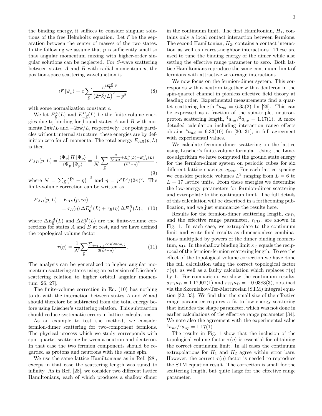the binding energy, it suffices to consider singular solutions of the free Helmholtz equation. Let  $\vec{r}$  be the separation between the center of masses of the two states. In the following we assume that  $p$  is sufficiently small so that angular momentum mixing with higher-order singular solutions can be neglected. For S-wave scattering between states  $A$  and  $B$  with radial momentum  $p$ , the position-space scattering wavefunction is

$$
\langle \vec{r} | \Psi_p \rangle = c \sum_{\vec{k}} \frac{e^{i \frac{2\pi \vec{k}}{L} \cdot \vec{r}}}{\left( 2\pi \vec{k}/L \right)^2 - p^2}
$$
(8)

with some normalization constant  $c$ .

We let  $E_{\vec{k}}^{A}(L)$  and  $E_{-\vec{k}}^{B}(L)$  be the finite-volume energies due to binding for bound states  $A$  and  $B$  with momenta  $2\pi \vec{k}/L$  and  $-2\pi \vec{k}/L$ , respectively. For point particles without internal structure, these energies are by definition zero for all momenta. The total energy  $E_{AB}(p, L)$ is then

$$
E_{AB}(p,L) = \frac{\langle \Psi_p | H | \Psi_p \rangle}{\langle \Psi_p | \Psi_p \rangle} = \frac{1}{\mathcal{N}} \sum_{\vec{k}} \frac{\frac{p^2}{2\mu_{AB} + E_{\vec{k}}^A(L) + E_{-\vec{k}}^B(L)}}{(\vec{k}^2 - \eta)^2},
$$
\n(9)

where  $\mathcal{N} = \sum_{\vec{k}} (\vec{k}^2 - \eta)^{-2}$  and  $\eta = p^2 L^2 / (2\pi)^2$ . The finite-volume correction can be written as

$$
E_{AB}(p, L) - E_{AB}(p, \infty)
$$
  
=  $\tau_A(\eta) \Delta E_{\vec{0}}^A(L) + \tau_B(\eta) \Delta E_{\vec{0}}^B(L)$ , (10)

where  $\Delta E_{\vec{0}}^{A}(L)$  and  $\Delta E_{\vec{0}}^{B}(L)$  are the finite-volume corrections for states  $A$  and  $B$  at rest, and we have defined the topological volume factor

$$
\tau(\eta) = \frac{1}{\mathcal{N}} \sum_{\vec{k}} \frac{\sum_{l=1,2,3} \cos(2\pi \alpha k_l)}{3(\vec{k}^2 - \eta)^2} \,. \tag{11}
$$

The analysis can be generalized to higher angular momentum scattering states using an extension of Lüscher's scattering relation to higher orbital angular momentum [26, 27].

The finite-volume correction in Eq. (10) has nothing to do with the interaction between states  $A$  and  $B$  and should therefore be subtracted from the total energy before using Lüscher's scattering relation. This subtraction should reduce systematic errors in lattice calculations.

As an example to test the method, we consider fermion-dimer scattering for two-component fermions. The physical process which we study corresponds with spin-quartet scattering between a neutron and deuteron. In that case the two fermion components should be regarded as protons and neutrons with the same spin.

We use the same lattice Hamiltonians as in Ref. [28], except in that case the scattering length was tuned to infinity. As in Ref. [28], we consider two different lattice Hamiltonians, each of which produces a shallow dimer

in the continuum limit. The first Hamiltonian,  $H_1$ , contains only a local contact interaction between fermions. The second Hamiltonian,  $H_2$ , contains a contact interaction as well as nearest-neighbor interactions. These are used to tune the binding energy of the dimer while also setting the effective range parameter to zero. Both lattice Hamiltonians reproduce the same continuum limit of fermions with attractive zero-range interactions.

We now focus on the fermion-dimer system. This corresponds with a neutron together with a deuteron in the spin-quartet channel in pionless effective field theory at leading order. Experimental measurements find a quartet scattering length  $a_{nd} = 6.35(2)$  fm [29]. This can be expressed as a fraction of the spin-triplet neutronproton scattering length,  $\frac{4a_{nd}}{3}a_{np} = 1.17(1)$ . A more detailed calculation including interaction range effects obtains  $a_{nd} = 6.33(10)$  fm [30, 31], in full agreement with experimental values.

We calculate fermion-dimer scattering on the lattice using Lüscher's finite-volume formula. Using the Lanczos algorithm we have computed the ground state energy for the fermion-dimer system on periodic cubes for six different lattice spacings  $a_{\text{latt}}$ . For each lattice spacing we consider periodic volumes  $L^3$  ranging from  $L = 6$  to  $L = 17$  lattice units. From these energies we determine the low-energy parameters for fermion-dimer scattering and extrapolate to the continuum limit. The full details of this calculation will be described in a forthcoming publication, and we just summarize the results here.

Results for the fermion-dimer scattering length,  $a_{FD}$ , and the effective range parameter,  $r_{\text{FD}}$ , are shown in Fig. 1. In each case, we extrapolate to the continuum limit and write final results as dimensionless combinations multiplied by powers of the dimer binding momentum,  $\kappa_D$ . In the shallow binding limit  $\kappa_D$  equals the reciprocal of the fermion-fermion scattering length. To see the effect of the topological volume correction we have done the full calculation using the correct topological factor  $\tau(\eta)$ , as well as a faulty calculation which replaces  $\tau(\eta)$ by 1. For comparison, we show the continuum results,  $a_{\text{FD}}\kappa_{\text{D}} = 1.17907(1)$  and  $r_{\text{FD}}\kappa_{\text{D}} = -0.0383(3)$ , obtained via the Skorniakov-Ter-Martirosian (STM) integral equation [32, 33]. We find that the small size of the effective range parameter requires a fit to low-energy scattering that includes the shape parameter, which was not done in earlier calculations of the effective range parameter [34]. We note also the agreement with the experimental value  $^{4}a_{nd}/^{3}a_{np} = 1.17(1).$ 

The results in Fig. 1 show that the inclusion of the topological volume factor  $\tau(\eta)$  is essential for obtaining the correct continuum limit. In all cases the continuum extrapolations for  $H_1$  and  $H_2$  agree within error bars. However, the correct  $\tau(\eta)$  factor is needed to reproduce the STM equation result. The correction is small for the scattering length, but quite large for the effective range parameter.